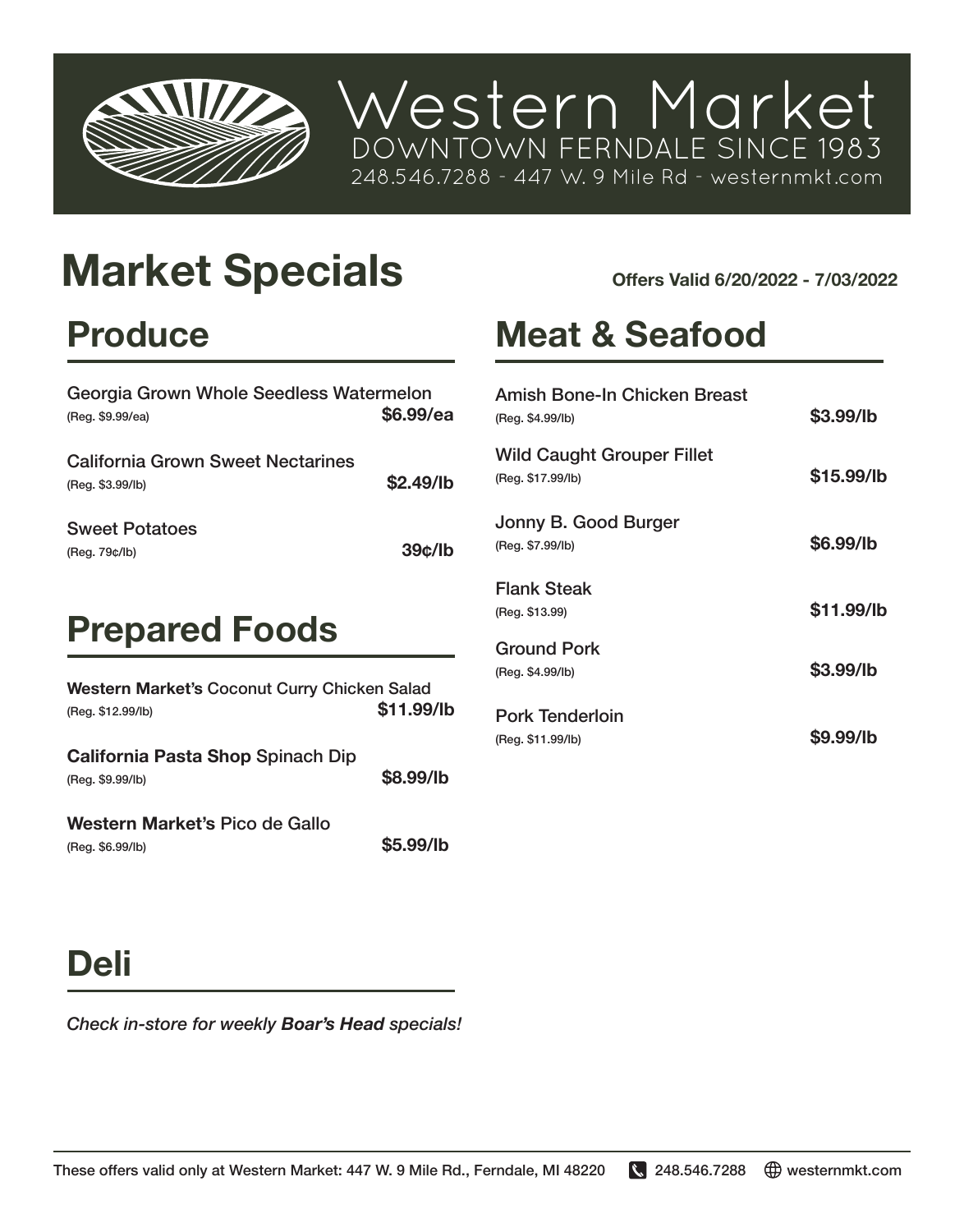

Western Market DOWNTOWN FERNDALE SINCE 1983 248.546.7288 - 447 W. 9 Mile Rd - westernmkt.com

# **Market Specials** offers Valid 6/20/2022 - 7/03/2022

#### **Produce**

| Georgia Grown Whole Seedless Watermelon |  |
|-----------------------------------------|--|
| \$6.99/ea                               |  |
|                                         |  |
| \$2.49/lb                               |  |
|                                         |  |
| 39c/lb                                  |  |
|                                         |  |
|                                         |  |

#### **Prepared Foods**

| Western Market's Coconut Curry Chicken Salad<br>(Reg. \$12.99/lb) | \$11.99/lb |
|-------------------------------------------------------------------|------------|
| <b>California Pasta Shop Spinach Dip</b><br>(Reg. \$9.99/lb)      | \$8.99/lb  |
| Western Market's Pico de Gallo<br>(Reg. \$6.99/lb)                | \$5.99/lb  |

### **Meat & Seafood**

| Amish Bone-In Chicken Breast<br>(Reg. \$4.99/lb)       | \$3.99/lb  |
|--------------------------------------------------------|------------|
| <b>Wild Caught Grouper Fillet</b><br>(Reg. \$17.99/lb) | \$15.99/lb |
| Jonny B. Good Burger<br>(Reg. \$7.99/lb)               | \$6,99/lb  |
| <b>Flank Steak</b><br>(Reg. \$13.99)                   | \$11.99/lb |
| Ground Pork<br>(Reg. \$4.99/lb)                        | \$3.99/lb  |
| Pork Tenderloin<br>(Reg. \$11.99/lb)                   | \$9.99/lb  |

#### **Deli**

*Check in-store for weekly Boar's Head specials!*